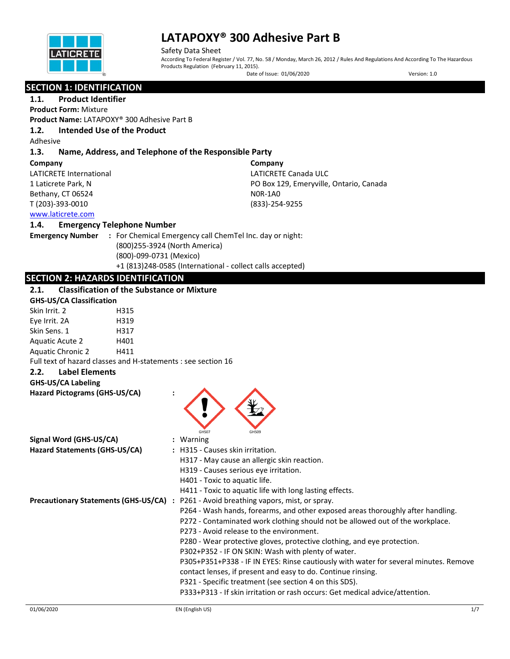

Safety Data Sheet According To Federal Register / Vol. 77, No. 58 / Monday, March 26, 2012 / Rules And Regulations And According To The Hazardous Products Regulation (February 11, 2015). Date of Issue: 01/06/2020 Version: 1.0

# **SECTION 1: IDENTIFICATION**

# **1.1. Product Identifier**

**Product Form:** Mixture **Product Name:** LATAPOXY® 300 Adhesive Part B

# **1.2. Intended Use of the Product**

Adhesive

# **1.3. Name, Address, and Telephone of the Responsible Party**

#### **Company**

LATICRETE International 1 Laticrete Park, N Bethany, CT 06524 T (203)-393-0010

**Company** LATICRETE Canada ULC PO Box 129, Emeryville, Ontario, Canada N0R-1A0 (833)-254-9255

# [www.laticrete.com](http://www.laticrete.com/)

# **1.4. Emergency Telephone Number**

**Emergency Number :** For Chemical Emergency call ChemTel Inc. day or night: (800)255-3924 (North America) (800)-099-0731 (Mexico) +1 (813)248-0585 (International - collect calls accepted)

# **SECTION 2: HAZARDS IDENTIFICATION**

# **2.1. Classification of the Substance or Mixture**

| <u>.</u><br>Classification of the substance of Mixture        |      |                                                                                      |
|---------------------------------------------------------------|------|--------------------------------------------------------------------------------------|
| <b>GHS-US/CA Classification</b>                               |      |                                                                                      |
| Skin Irrit. 2                                                 | H315 |                                                                                      |
| Eye Irrit. 2A                                                 | H319 |                                                                                      |
| Skin Sens. 1                                                  | H317 |                                                                                      |
| Aquatic Acute 2                                               | H401 |                                                                                      |
| <b>Aquatic Chronic 2</b>                                      | H411 |                                                                                      |
| Full text of hazard classes and H-statements : see section 16 |      |                                                                                      |
| 2.2.<br><b>Label Elements</b>                                 |      |                                                                                      |
| <b>GHS-US/CA Labeling</b>                                     |      |                                                                                      |
| Hazard Pictograms (GHS-US/CA)                                 |      | GHS07<br>GHS09                                                                       |
| Signal Word (GHS-US/CA)                                       |      | : Warning                                                                            |
| Hazard Statements (GHS-US/CA)                                 |      | : H315 - Causes skin irritation.                                                     |
|                                                               |      | H317 - May cause an allergic skin reaction.                                          |
|                                                               |      | H319 - Causes serious eye irritation.                                                |
|                                                               |      | H401 - Toxic to aquatic life.                                                        |
|                                                               |      | H411 - Toxic to aquatic life with long lasting effects.                              |
| <b>Precautionary Statements (GHS-US/CA)</b>                   |      | : P261 - Avoid breathing vapors, mist, or spray.                                     |
|                                                               |      | P264 - Wash hands, forearms, and other exposed areas thoroughly after handling.      |
|                                                               |      | P272 - Contaminated work clothing should not be allowed out of the workplace.        |
|                                                               |      | P273 - Avoid release to the environment.                                             |
|                                                               |      | P280 - Wear protective gloves, protective clothing, and eye protection.              |
|                                                               |      | P302+P352 - IF ON SKIN: Wash with plenty of water.                                   |
|                                                               |      | P305+P351+P338 - IF IN EYES: Rinse cautiously with water for several minutes. Remove |
|                                                               |      | contact lenses, if present and easy to do. Continue rinsing.                         |
|                                                               |      | P321 - Specific treatment (see section 4 on this SDS).                               |
|                                                               |      | P333+P313 - If skin irritation or rash occurs: Get medical advice/attention.         |
|                                                               |      |                                                                                      |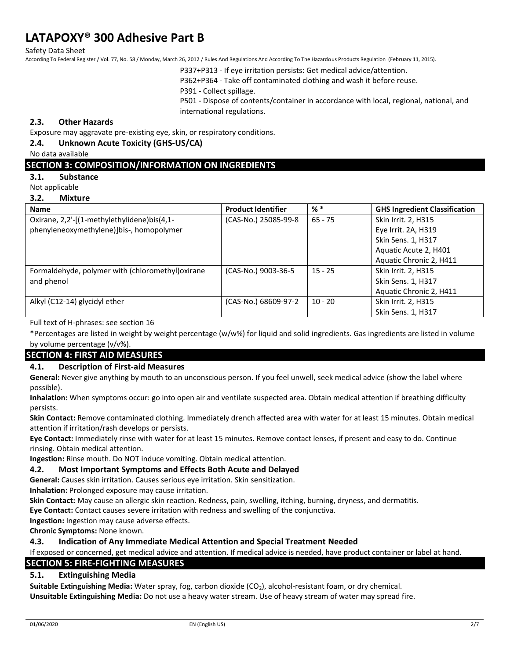Safety Data Sheet

According To Federal Register / Vol. 77, No. 58 / Monday, March 26, 2012 / Rules And Regulations And According To The Hazardous Products Regulation (February 11, 2015).

P337+P313 - If eye irritation persists: Get medical advice/attention.

P362+P364 - Take off contaminated clothing and wash it before reuse.

P391 - Collect spillage.

P501 - Dispose of contents/container in accordance with local, regional, national, and international regulations.

# **2.3. Other Hazards**

Exposure may aggravate pre-existing eye, skin, or respiratory conditions.

## **2.4. Unknown Acute Toxicity (GHS-US/CA)**

No data available

## **SECTION 3: COMPOSITION/INFORMATION ON INGREDIENTS**

**3.1. Substance**

Not applicable

#### **3.2. Mixture**

| <b>Name</b>                                       | <b>Product Identifier</b> | $%$ $*$   | <b>GHS Ingredient Classification</b> |
|---------------------------------------------------|---------------------------|-----------|--------------------------------------|
| Oxirane, 2,2'-[(1-methylethylidene)bis(4,1-       | (CAS-No.) 25085-99-8      | $65 - 75$ | Skin Irrit. 2, H315                  |
| phenyleneoxymethylene)]bis-, homopolymer          |                           |           | Eye Irrit. 2A, H319                  |
|                                                   |                           |           | Skin Sens. 1, H317                   |
|                                                   |                           |           | Aquatic Acute 2, H401                |
|                                                   |                           |           | Aquatic Chronic 2, H411              |
| Formaldehyde, polymer with (chloromethyl) oxirane | (CAS-No.) 9003-36-5       | $15 - 25$ | Skin Irrit. 2, H315                  |
| and phenol                                        |                           |           | Skin Sens. 1, H317                   |
|                                                   |                           |           | Aquatic Chronic 2, H411              |
| Alkyl (C12-14) glycidyl ether                     | (CAS-No.) 68609-97-2      | $10 - 20$ | Skin Irrit. 2, H315                  |
|                                                   |                           |           | Skin Sens. 1, H317                   |

Full text of H-phrases: see section 16

\*Percentages are listed in weight by weight percentage (w/w%) for liquid and solid ingredients. Gas ingredients are listed in volume by volume percentage (v/v%).

# **SECTION 4: FIRST AID MEASURES**

## **4.1. Description of First-aid Measures**

**General:** Never give anything by mouth to an unconscious person. If you feel unwell, seek medical advice (show the label where possible).

**Inhalation:** When symptoms occur: go into open air and ventilate suspected area. Obtain medical attention if breathing difficulty persists.

**Skin Contact:** Remove contaminated clothing. Immediately drench affected area with water for at least 15 minutes. Obtain medical attention if irritation/rash develops or persists.

**Eye Contact:** Immediately rinse with water for at least 15 minutes. Remove contact lenses, if present and easy to do. Continue rinsing. Obtain medical attention.

**Ingestion:** Rinse mouth. Do NOT induce vomiting. Obtain medical attention.

## **4.2. Most Important Symptoms and Effects Both Acute and Delayed**

**General:** Causes skin irritation. Causes serious eye irritation. Skin sensitization.

**Inhalation:** Prolonged exposure may cause irritation.

**Skin Contact:** May cause an allergic skin reaction. Redness, pain, swelling, itching, burning, dryness, and dermatitis.

**Eye Contact:** Contact causes severe irritation with redness and swelling of the conjunctiva.

**Ingestion:** Ingestion may cause adverse effects.

**Chronic Symptoms:** None known.

## **4.3. Indication of Any Immediate Medical Attention and Special Treatment Needed**

If exposed or concerned, get medical advice and attention. If medical advice is needed, have product container or label at hand.

# **SECTION 5: FIRE-FIGHTING MEASURES**

## **5.1. Extinguishing Media**

**Suitable Extinguishing Media:** Water spray, fog, carbon dioxide (CO<sub>2</sub>), alcohol-resistant foam, or dry chemical. **Unsuitable Extinguishing Media:** Do not use a heavy water stream. Use of heavy stream of water may spread fire.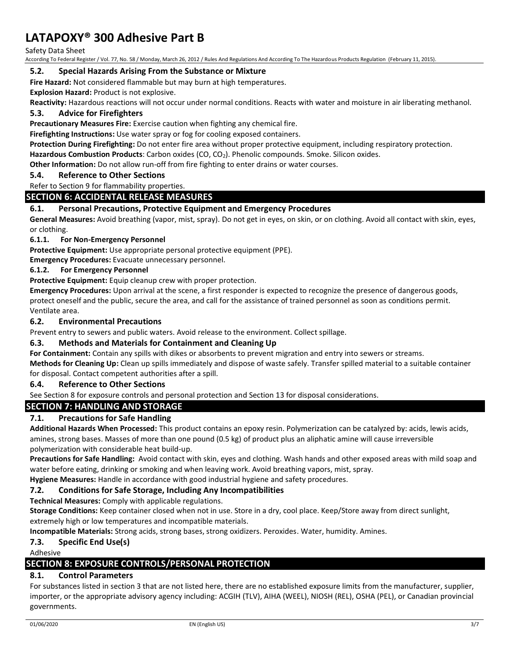Safety Data Sheet

According To Federal Register / Vol. 77, No. 58 / Monday, March 26, 2012 / Rules And Regulations And According To The Hazardous Products Regulation (February 11, 2015).

#### **5.2. Special Hazards Arising From the Substance or Mixture**

**Fire Hazard:** Not considered flammable but may burn at high temperatures.

**Explosion Hazard:** Product is not explosive.

**Reactivity:** Hazardous reactions will not occur under normal conditions. Reacts with water and moisture in air liberating methanol.

# **5.3. Advice for Firefighters**

**Precautionary Measures Fire:** Exercise caution when fighting any chemical fire.

**Firefighting Instructions:** Use water spray or fog for cooling exposed containers.

**Protection During Firefighting:** Do not enter fire area without proper protective equipment, including respiratory protection.

**Hazardous Combustion Products**: Carbon oxides (CO, CO2). Phenolic compounds. Smoke. Silicon oxides.

**Other Information:** Do not allow run-off from fire fighting to enter drains or water courses.

# **5.4. Reference to Other Sections**

Refer to Section 9 for flammability properties.

# **SECTION 6: ACCIDENTAL RELEASE MEASURES**

## **6.1. Personal Precautions, Protective Equipment and Emergency Procedures**

**General Measures:** Avoid breathing (vapor, mist, spray). Do not get in eyes, on skin, or on clothing. Avoid all contact with skin, eyes, or clothing.

#### **6.1.1. For Non-Emergency Personnel**

**Protective Equipment:** Use appropriate personal protective equipment (PPE).

**Emergency Procedures:** Evacuate unnecessary personnel.

## **6.1.2. For Emergency Personnel**

**Protective Equipment:** Equip cleanup crew with proper protection.

**Emergency Procedures:** Upon arrival at the scene, a first responder is expected to recognize the presence of dangerous goods, protect oneself and the public, secure the area, and call for the assistance of trained personnel as soon as conditions permit. Ventilate area.

#### **6.2. Environmental Precautions**

Prevent entry to sewers and public waters. Avoid release to the environment. Collect spillage.

## **6.3. Methods and Materials for Containment and Cleaning Up**

**For Containment:** Contain any spills with dikes or absorbents to prevent migration and entry into sewers or streams.

**Methods for Cleaning Up:** Clean up spills immediately and dispose of waste safely. Transfer spilled material to a suitable container for disposal. Contact competent authorities after a spill.

## **6.4. Reference to Other Sections**

See Section 8 for exposure controls and personal protection and Section 13 for disposal considerations.

# **SECTION 7: HANDLING AND STORAGE**

# **7.1. Precautions for Safe Handling**

**Additional Hazards When Processed:** This product contains an epoxy resin. Polymerization can be catalyzed by: acids, lewis acids, amines, strong bases. Masses of more than one pound (0.5 kg) of product plus an aliphatic amine will cause irreversible polymerization with considerable heat build-up.

**Precautions for Safe Handling:** Avoid contact with skin, eyes and clothing. Wash hands and other exposed areas with mild soap and water before eating, drinking or smoking and when leaving work. Avoid breathing vapors, mist, spray.

**Hygiene Measures:** Handle in accordance with good industrial hygiene and safety procedures.

## **7.2. Conditions for Safe Storage, Including Any Incompatibilities**

**Technical Measures:** Comply with applicable regulations.

**Storage Conditions:** Keep container closed when not in use. Store in a dry, cool place. Keep/Store away from direct sunlight, extremely high or low temperatures and incompatible materials.

**Incompatible Materials:** Strong acids, strong bases, strong oxidizers. Peroxides. Water, humidity. Amines.

## **7.3. Specific End Use(s)**

Adhesive

# **SECTION 8: EXPOSURE CONTROLS/PERSONAL PROTECTION**

# **8.1. Control Parameters**

For substances listed in section 3 that are not listed here, there are no established exposure limits from the manufacturer, supplier, importer, or the appropriate advisory agency including: ACGIH (TLV), AIHA (WEEL), NIOSH (REL), OSHA (PEL), or Canadian provincial governments.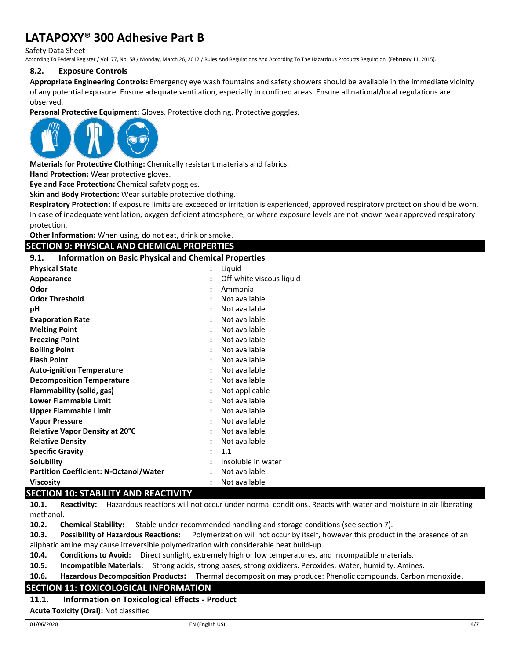Safety Data Sheet

According To Federal Register / Vol. 77, No. 58 / Monday, March 26, 2012 / Rules And Regulations And According To The Hazardous Products Regulation (February 11, 2015).

# **8.2. Exposure Controls**

**Appropriate Engineering Controls:** Emergency eye wash fountains and safety showers should be available in the immediate vicinity of any potential exposure. Ensure adequate ventilation, especially in confined areas. Ensure all national/local regulations are observed.

**Personal Protective Equipment:** Gloves. Protective clothing. Protective goggles.



**Materials for Protective Clothing:** Chemically resistant materials and fabrics.

**Hand Protection:** Wear protective gloves.

**Eye and Face Protection:** Chemical safety goggles.

**Skin and Body Protection:** Wear suitable protective clothing.

**Respiratory Protection:** If exposure limits are exceeded or irritation is experienced, approved respiratory protection should be worn. In case of inadequate ventilation, oxygen deficient atmosphere, or where exposure levels are not known wear approved respiratory protection.

**Other Information:** When using, do not eat, drink or smoke.

#### **SECTION 9: PHYSICAL AND CHEMICAL PROPERTIES**

**9.1. Information on Basic Physical and Chemical Properties**

| <b>Physical State</b>                                                                                                                                                                                                                                                                                                                                                                                                                                        | $\ddot{\cdot}$       | Liquid                   |
|--------------------------------------------------------------------------------------------------------------------------------------------------------------------------------------------------------------------------------------------------------------------------------------------------------------------------------------------------------------------------------------------------------------------------------------------------------------|----------------------|--------------------------|
| Appearance                                                                                                                                                                                                                                                                                                                                                                                                                                                   |                      | Off-white viscous liquid |
| Odor                                                                                                                                                                                                                                                                                                                                                                                                                                                         |                      | Ammonia                  |
| <b>Odor Threshold</b>                                                                                                                                                                                                                                                                                                                                                                                                                                        | $\ddot{\cdot}$       | Not available            |
| рH                                                                                                                                                                                                                                                                                                                                                                                                                                                           |                      | Not available            |
| <b>Evaporation Rate</b>                                                                                                                                                                                                                                                                                                                                                                                                                                      |                      | Not available            |
| <b>Melting Point</b>                                                                                                                                                                                                                                                                                                                                                                                                                                         | ٠                    | Not available            |
| <b>Freezing Point</b>                                                                                                                                                                                                                                                                                                                                                                                                                                        |                      | Not available            |
| <b>Boiling Point</b>                                                                                                                                                                                                                                                                                                                                                                                                                                         |                      | Not available            |
| <b>Flash Point</b>                                                                                                                                                                                                                                                                                                                                                                                                                                           |                      | Not available            |
| <b>Auto-ignition Temperature</b>                                                                                                                                                                                                                                                                                                                                                                                                                             | $\ddot{\phantom{a}}$ | Not available            |
| <b>Decomposition Temperature</b>                                                                                                                                                                                                                                                                                                                                                                                                                             |                      | Not available            |
| Flammability (solid, gas)                                                                                                                                                                                                                                                                                                                                                                                                                                    |                      | Not applicable           |
| <b>Lower Flammable Limit</b>                                                                                                                                                                                                                                                                                                                                                                                                                                 | $\ddot{\phantom{a}}$ | Not available            |
| <b>Upper Flammable Limit</b>                                                                                                                                                                                                                                                                                                                                                                                                                                 |                      | Not available            |
| <b>Vapor Pressure</b>                                                                                                                                                                                                                                                                                                                                                                                                                                        |                      | Not available            |
| Relative Vapor Density at 20°C                                                                                                                                                                                                                                                                                                                                                                                                                               |                      | Not available            |
| <b>Relative Density</b>                                                                                                                                                                                                                                                                                                                                                                                                                                      | ٠                    | Not available            |
| <b>Specific Gravity</b>                                                                                                                                                                                                                                                                                                                                                                                                                                      |                      | 1.1                      |
| Solubility                                                                                                                                                                                                                                                                                                                                                                                                                                                   |                      | Insoluble in water       |
| <b>Partition Coefficient: N-Octanol/Water</b>                                                                                                                                                                                                                                                                                                                                                                                                                |                      | Not available            |
| <b>Viscosity</b>                                                                                                                                                                                                                                                                                                                                                                                                                                             |                      | Not available            |
| $\mathcal{L} = \mathcal{L} = \mathcal{L} = \mathcal{L} = \mathcal{L} = \mathcal{L} = \mathcal{L} = \mathcal{L} = \mathcal{L} = \mathcal{L} = \mathcal{L} = \mathcal{L} = \mathcal{L} = \mathcal{L} = \mathcal{L} = \mathcal{L} = \mathcal{L} = \mathcal{L} = \mathcal{L} = \mathcal{L} = \mathcal{L} = \mathcal{L} = \mathcal{L} = \mathcal{L} = \mathcal{L} = \mathcal{L} = \mathcal{L} = \mathcal{L} = \mathcal{L} = \mathcal{L} = \mathcal{L} = \mathcal$ |                      |                          |

## **SECTION 10: STABILITY AND REACTIVITY**

**10.1. Reactivity:** Hazardous reactions will not occur under normal conditions. Reacts with water and moisture in air liberating methanol.

**10.2. Chemical Stability:** Stable under recommended handling and storage conditions (see section 7).

**10.3. Possibility of Hazardous Reactions:** Polymerization will not occur by itself, however this product in the presence of an aliphatic amine may cause irreversible polymerization with considerable heat build-up.

**10.4. Conditions to Avoid:** Direct sunlight, extremely high or low temperatures, and incompatible materials.

**10.5. Incompatible Materials:** Strong acids, strong bases, strong oxidizers. Peroxides. Water, humidity. Amines.

**10.6. Hazardous Decomposition Products:** Thermal decomposition may produce: Phenolic compounds. Carbon monoxide.

## **SECTION 11: TOXICOLOGICAL INFORMATION**

**11.1. Information on Toxicological Effects - Product**

**Acute Toxicity (Oral):** Not classified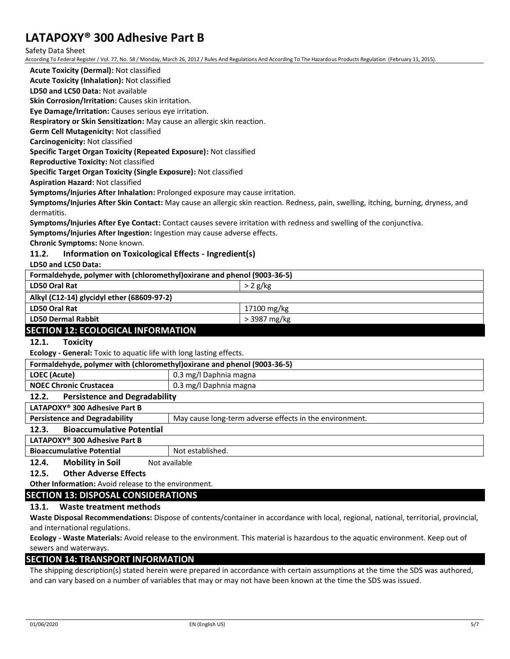Safety Data Sheet

According To Federal Register / Vol. 77, No. 58 / Monday, March 26, 2012 / Rules And Regulations And According To The Hazardous Products Regulation (February 11, 2015).

**Acute Toxicity (Dermal):** Not classified

**Acute Toxicity (Inhalation):** Not classified

**LD50 and LC50 Data:** Not available

**Skin Corrosion/Irritation:** Causes skin irritation.

**Eye Damage/Irritation:** Causes serious eye irritation.

**Respiratory or Skin Sensitization:** May cause an allergic skin reaction.

**Germ Cell Mutagenicity:** Not classified

**Carcinogenicity:** Not classified

**Specific Target Organ Toxicity (Repeated Exposure):** Not classified

**Reproductive Toxicity:** Not classified

**Specific Target Organ Toxicity (Single Exposure):** Not classified

**Aspiration Hazard:** Not classified

**Symptoms/Injuries After Inhalation:** Prolonged exposure may cause irritation.

**Symptoms/Injuries After Skin Contact:** May cause an allergic skin reaction. Redness, pain, swelling, itching, burning, dryness, and dermatitis.

**Symptoms/Injuries After Eye Contact:** Contact causes severe irritation with redness and swelling of the conjunctiva.

**Symptoms/Injuries After Ingestion:** Ingestion may cause adverse effects.

**Chronic Symptoms:** None known.

# **11.2. Information on Toxicological Effects - Ingredient(s)**

**LD50 and LC50 Data:**

| Formaldehyde, polymer with (chloromethyl) oxirane and phenol (9003-36-5) |              |  |
|--------------------------------------------------------------------------|--------------|--|
| LD50 Oral Rat                                                            | $>2$ g/kg    |  |
| Alkyl (C12-14) glycidyl ether (68609-97-2)                               |              |  |
| LD50 Oral Rat                                                            | 17100 mg/kg  |  |
| <b>LD50 Dermal Rabbit</b>                                                | > 3987 mg/kg |  |
| CECTION 43. FCOLOGICAL INFODUATION                                       |              |  |

# **SECTION 12: ECOLOGICAL INFORMATION**

**12.1. Toxicity**

**Ecology - General:** Toxic to aquatic life with long lasting effects.

| Formaldehyde, polymer with (chloromethyl) oxirane and phenol (9003-36-5) |                                                         |
|--------------------------------------------------------------------------|---------------------------------------------------------|
| LOEC (Acute)                                                             | 0.3 mg/l Daphnia magna                                  |
| <b>NOEC Chronic Crustacea</b>                                            | 0.3 mg/l Daphnia magna                                  |
| <b>Persistence and Degradability</b><br>12.2.                            |                                                         |
| LATAPOXY <sup>®</sup> 300 Adhesive Part B                                |                                                         |
| <b>Persistence and Degradability</b>                                     | May cause long-term adverse effects in the environment. |
| <b>Bioaccumulative Potential</b><br>12.3.                                |                                                         |
| LATAPOXY <sup>®</sup> 300 Adhesive Part B                                |                                                         |
| <b>Bioaccumulative Potential</b>                                         | Not established.                                        |

**12.4.** Mobility in Soil Not available

## **12.5. Other Adverse Effects**

**Other Information:** Avoid release to the environment.

# **SECTION 13: DISPOSAL CONSIDERATIONS**

# **13.1. Waste treatment methods**

**Waste Disposal Recommendations:** Dispose of contents/container in accordance with local, regional, national, territorial, provincial, and international regulations.

**Ecology - Waste Materials:** Avoid release to the environment. This material is hazardous to the aquatic environment. Keep out of sewers and waterways.

# **SECTION 14: TRANSPORT INFORMATION**

The shipping description(s) stated herein were prepared in accordance with certain assumptions at the time the SDS was authored, and can vary based on a number of variables that may or may not have been known at the time the SDS was issued.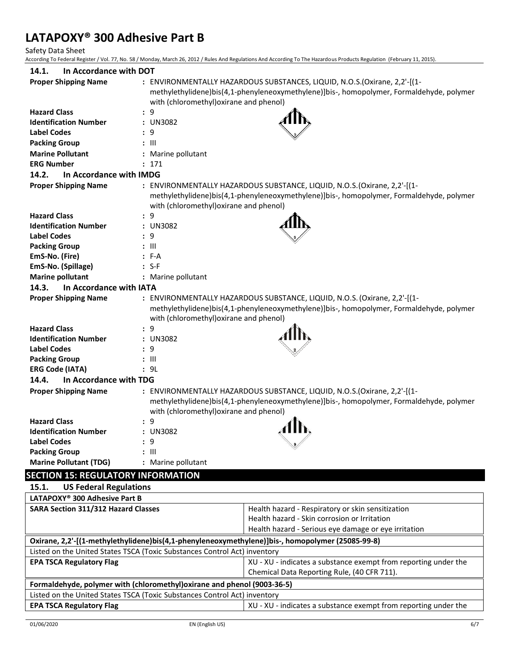Safety Data Sheet

According To Federal Register / Vol. 77, No. 58 / Monday, March 26, 2012 / Rules And Regulations And According To The Hazardous Products Regulation (February 11, 2015).

| 14.1.<br>In Accordance with DOT                                           |                                         |                                                                                                  |  |
|---------------------------------------------------------------------------|-----------------------------------------|--------------------------------------------------------------------------------------------------|--|
| <b>Proper Shipping Name</b>                                               |                                         | : ENVIRONMENTALLY HAZARDOUS SUBSTANCES, LIQUID, N.O.S.(Oxirane, 2,2'-[(1-                        |  |
|                                                                           |                                         | methylethylidene)bis(4,1-phenyleneoxymethylene)]bis-, homopolymer, Formaldehyde, polymer         |  |
|                                                                           | with (chloromethyl) oxirane and phenol) |                                                                                                  |  |
| <b>Hazard Class</b>                                                       | : 9                                     |                                                                                                  |  |
| <b>Identification Number</b>                                              | : UN3082                                |                                                                                                  |  |
| <b>Label Codes</b>                                                        | : 9                                     |                                                                                                  |  |
| <b>Packing Group</b>                                                      | : III                                   |                                                                                                  |  |
| <b>Marine Pollutant</b>                                                   | : Marine pollutant                      |                                                                                                  |  |
| <b>ERG Number</b>                                                         | : 171                                   |                                                                                                  |  |
| 14.2.<br>In Accordance with IMDG                                          |                                         |                                                                                                  |  |
| <b>Proper Shipping Name</b>                                               |                                         | : ENVIRONMENTALLY HAZARDOUS SUBSTANCE, LIQUID, N.O.S. (Oxirane, 2,2'-[(1-                        |  |
|                                                                           |                                         | methylethylidene)bis(4,1-phenyleneoxymethylene)]bis-, homopolymer, Formaldehyde, polymer         |  |
|                                                                           | with (chloromethyl) oxirane and phenol) |                                                                                                  |  |
| <b>Hazard Class</b>                                                       | : 9                                     |                                                                                                  |  |
| <b>Identification Number</b>                                              | : UN3082                                |                                                                                                  |  |
| <b>Label Codes</b>                                                        | : 9                                     |                                                                                                  |  |
| <b>Packing Group</b>                                                      | $: \mathbb{H}$                          |                                                                                                  |  |
| EmS-No. (Fire)                                                            | : F-A                                   |                                                                                                  |  |
| EmS-No. (Spillage)                                                        | $: S-F$                                 |                                                                                                  |  |
| <b>Marine pollutant</b>                                                   | : Marine pollutant                      |                                                                                                  |  |
| 14.3.<br>In Accordance with IATA                                          |                                         |                                                                                                  |  |
| <b>Proper Shipping Name</b>                                               |                                         | : ENVIRONMENTALLY HAZARDOUS SUBSTANCE, LIQUID, N.O.S. (Oxirane, 2,2'-[(1-                        |  |
|                                                                           |                                         | methylethylidene)bis(4,1-phenyleneoxymethylene)]bis-, homopolymer, Formaldehyde, polymer         |  |
|                                                                           | with (chloromethyl) oxirane and phenol) |                                                                                                  |  |
| <b>Hazard Class</b>                                                       | : 9                                     |                                                                                                  |  |
| <b>Identification Number</b>                                              | : UN3082                                |                                                                                                  |  |
| <b>Label Codes</b>                                                        | : 9                                     |                                                                                                  |  |
| <b>Packing Group</b>                                                      | $: \mathbb{H}$                          |                                                                                                  |  |
| <b>ERG Code (IATA)</b>                                                    | : 9L                                    |                                                                                                  |  |
| 14.4.<br>In Accordance with TDG                                           |                                         |                                                                                                  |  |
| <b>Proper Shipping Name</b>                                               |                                         | : ENVIRONMENTALLY HAZARDOUS SUBSTANCE, LIQUID, N.O.S. (Oxirane, 2,2'-[(1-                        |  |
|                                                                           |                                         | methylethylidene)bis(4,1-phenyleneoxymethylene)]bis-, homopolymer, Formaldehyde, polymer         |  |
|                                                                           | with (chloromethyl) oxirane and phenol) |                                                                                                  |  |
| <b>Hazard Class</b>                                                       | : 9                                     |                                                                                                  |  |
| <b>Identification Number</b>                                              | : UN3082                                |                                                                                                  |  |
| <b>Label Codes</b>                                                        | : 9                                     |                                                                                                  |  |
| <b>Packing Group</b>                                                      | : 111                                   |                                                                                                  |  |
| <b>Marine Pollutant (TDG)</b>                                             | : Marine pollutant                      |                                                                                                  |  |
| <b>SECTION 15: REGULATORY INFORMATION</b>                                 |                                         |                                                                                                  |  |
| 15.1.<br><b>US Federal Regulations</b>                                    |                                         |                                                                                                  |  |
| LATAPOXY® 300 Adhesive Part B                                             |                                         |                                                                                                  |  |
| <b>SARA Section 311/312 Hazard Classes</b>                                |                                         | Health hazard - Respiratory or skin sensitization                                                |  |
|                                                                           |                                         | Health hazard - Skin corrosion or Irritation                                                     |  |
|                                                                           |                                         | Health hazard - Serious eye damage or eye irritation                                             |  |
|                                                                           |                                         | Oxirane, 2,2'-[(1-methylethylidene)bis(4,1-phenyleneoxymethylene)]bis-, homopolymer (25085-99-8) |  |
| Listed on the United States TSCA (Toxic Substances Control Act) inventory |                                         |                                                                                                  |  |
| <b>EPA TSCA Regulatory Flag</b>                                           |                                         | XU - XU - indicates a substance exempt from reporting under the                                  |  |
|                                                                           |                                         | Chemical Data Reporting Rule, (40 CFR 711).                                                      |  |

**Formaldehyde, polymer with (chloromethyl)oxirane and phenol (9003-36-5)** Listed on the United States TSCA (Toxic Substances Control Act) inventory **EPA TSCA Regulatory Flag EPA TSCA Regulatory Flag XU** - **indicates a substance exempt from reporting under the**